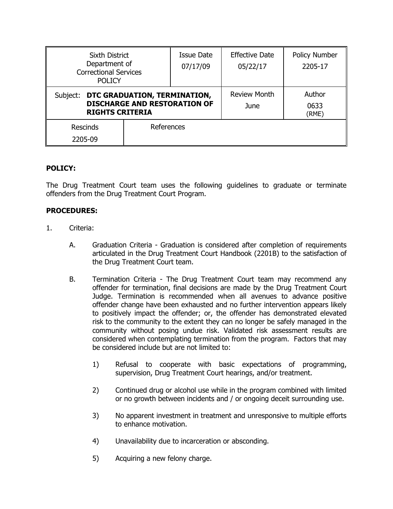| Sixth District<br>Department of<br><b>Correctional Services</b><br><b>POLICY</b>                          |            | <b>Issue Date</b><br>07/17/09 | <b>Effective Date</b><br>05/22/17 | <b>Policy Number</b><br>2205-17 |
|-----------------------------------------------------------------------------------------------------------|------------|-------------------------------|-----------------------------------|---------------------------------|
| DTC GRADUATION, TERMINATION,<br>Subject:<br><b>DISCHARGE AND RESTORATION OF</b><br><b>RIGHTS CRITERIA</b> |            |                               | <b>Review Month</b><br>June       | Author<br>0633<br>(RME)         |
| Rescinds<br>2205-09                                                                                       | References |                               |                                   |                                 |

## **POLICY:**

The Drug Treatment Court team uses the following guidelines to graduate or terminate offenders from the Drug Treatment Court Program.

## **PROCEDURES:**

- 1. Criteria:
	- A. Graduation Criteria Graduation is considered after completion of requirements articulated in the Drug Treatment Court Handbook (2201B) to the satisfaction of the Drug Treatment Court team.
	- B. Termination Criteria The Drug Treatment Court team may recommend any offender for termination, final decisions are made by the Drug Treatment Court Judge. Termination is recommended when all avenues to advance positive offender change have been exhausted and no further intervention appears likely to positively impact the offender; or, the offender has demonstrated elevated risk to the community to the extent they can no longer be safely managed in the community without posing undue risk. Validated risk assessment results are considered when contemplating termination from the program. Factors that may be considered include but are not limited to:
		- 1) Refusal to cooperate with basic expectations of programming, supervision, Drug Treatment Court hearings, and/or treatment.
		- 2) Continued drug or alcohol use while in the program combined with limited or no growth between incidents and / or ongoing deceit surrounding use.
		- 3) No apparent investment in treatment and unresponsive to multiple efforts to enhance motivation.
		- 4) Unavailability due to incarceration or absconding.
		- 5) Acquiring a new felony charge.